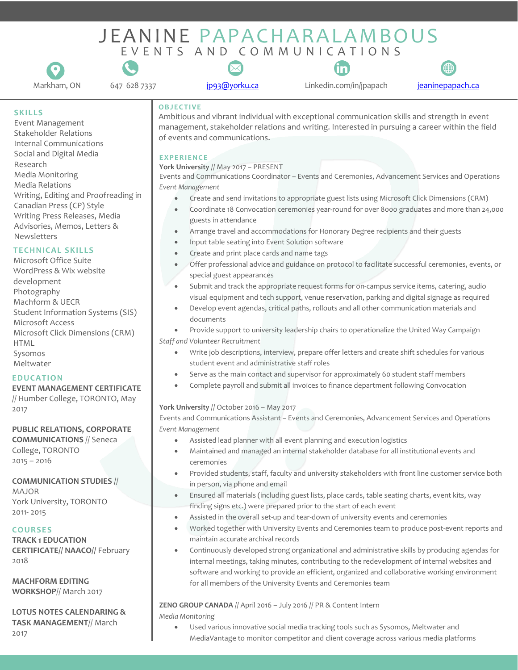# EVENTS AND COMMUNICATIONS JEANINE PAPACHARALAMBOUS





647 628 7337 [jp93@yorku.ca](mailto:jp93@yorku.ca)

Linkedin.com/in/jpapach Markham, ON [jeaninepapach.ca](http://www.jeaninepapach.ca/)



# **SKILLS**

Event Management Stakeholder Relations Internal Communications Social and Digital Media Research Media Monitoring Media Relations Writing, Editing and Proofreading in Canadian Press (CP) Style Writing Press Releases, Media Advisories, Memos, Letters & Newsletters

# **TECHNICAL SKILLS**

Microsoft Office Suite WordPress & Wix website development Photography Machform & UECR Student Information Systems (SIS) Microsoft Access Microsoft Click Dimensions (CRM) HTML Sysomos Meltwater

# **EDUCATION**

**EVENT MANAGEMENT CERTIFICATE**

// Humber College, TORONTO, May 2017

# **PUBLIC RELATIONS, CORPORATE**

**COMMUNICATIONS** // Seneca College, TORONTO 2015 – 2016

# **COMMUNICATION STUDIES** //

MAJOR York University, TORONTO 2011- 2015

# **COURSES**

**TRACK 1 EDUCATION CERTIFICATE// NAACO//** February 2018

**MACHFORM EDITING WORKSHOP**// March 2017

#### **LOTUS NOTES CALENDARING & TASK MANAGEMENT**// March 2017

# **OBJECTIVE**

Ambitious and vibrant individual with exceptional communication skills and strength in event management, stakeholder relations and writing. Interested in pursuing a career within the field of events and communications.

# **EXPERIENCE**

### **York University** // May 2017 – PRESENT

Events and Communications Coordinator – Events and Ceremonies, Advancement Services and Operations *Event Management* 

- Create and send invitations to appropriate guest lists using Microsoft Click Dimensions (CRM)
- Coordinate 18 Convocation ceremonies year-round for over 8000 graduates and more than 24,000 guests in attendance
- Arrange travel and accommodations for Honorary Degree recipients and their guests
- Input table seating into Event Solution software
- Create and print place cards and name tags
- Offer professional advice and guidance on protocol to facilitate successful ceremonies, events, or special guest appearances
- Submit and track the appropriate request forms for on-campus service items, catering, audio visual equipment and tech support, venue reservation, parking and digital signage as required
- Develop event agendas, critical paths, rollouts and all other communication materials and documents
- Provide support to university leadership chairs to operationalize the United Way Campaign *Staff and Volunteer Recruitment* 
	- Write job descriptions, interview, prepare offer letters and create shift schedules for various student event and administrative staff roles
	- Serve as the main contact and supervisor for approximately 60 student staff members
	- Complete payroll and submit all invoices to finance department following Convocation

# **York University** // October 2016 – May 2017

Events and Communications Assistant – Events and Ceremonies, Advancement Services and Operations *Event Management* 

- Assisted lead planner with all event planning and execution logistics
- Maintained and managed an internal stakeholder database for all institutional events and ceremonies
- Provided students, staff, faculty and university stakeholders with front line customer service both in person, via phone and email
- Ensured all materials (including guest lists, place cards, table seating charts, event kits, way finding signs etc.) were prepared prior to the start of each event
- Assisted in the overall set-up and tear-down of university events and ceremonies
- Worked together with University Events and Ceremonies team to produce post-event reports and maintain accurate archival records
- Continuously developed strong organizational and administrative skills by producing agendas for internal meetings, taking minutes, contributing to the redevelopment of internal websites and software and working to provide an efficient, organized and collaborative working environment for all members of the University Events and Ceremonies team

# **ZENO GROUP CANADA** // April 2016 – July 2016 // PR & Content Intern

*Media Monitoring*

Used various innovative social media tracking tools such as Sysomos, Meltwater and MediaVantage to monitor competitor and client coverage across various media platforms